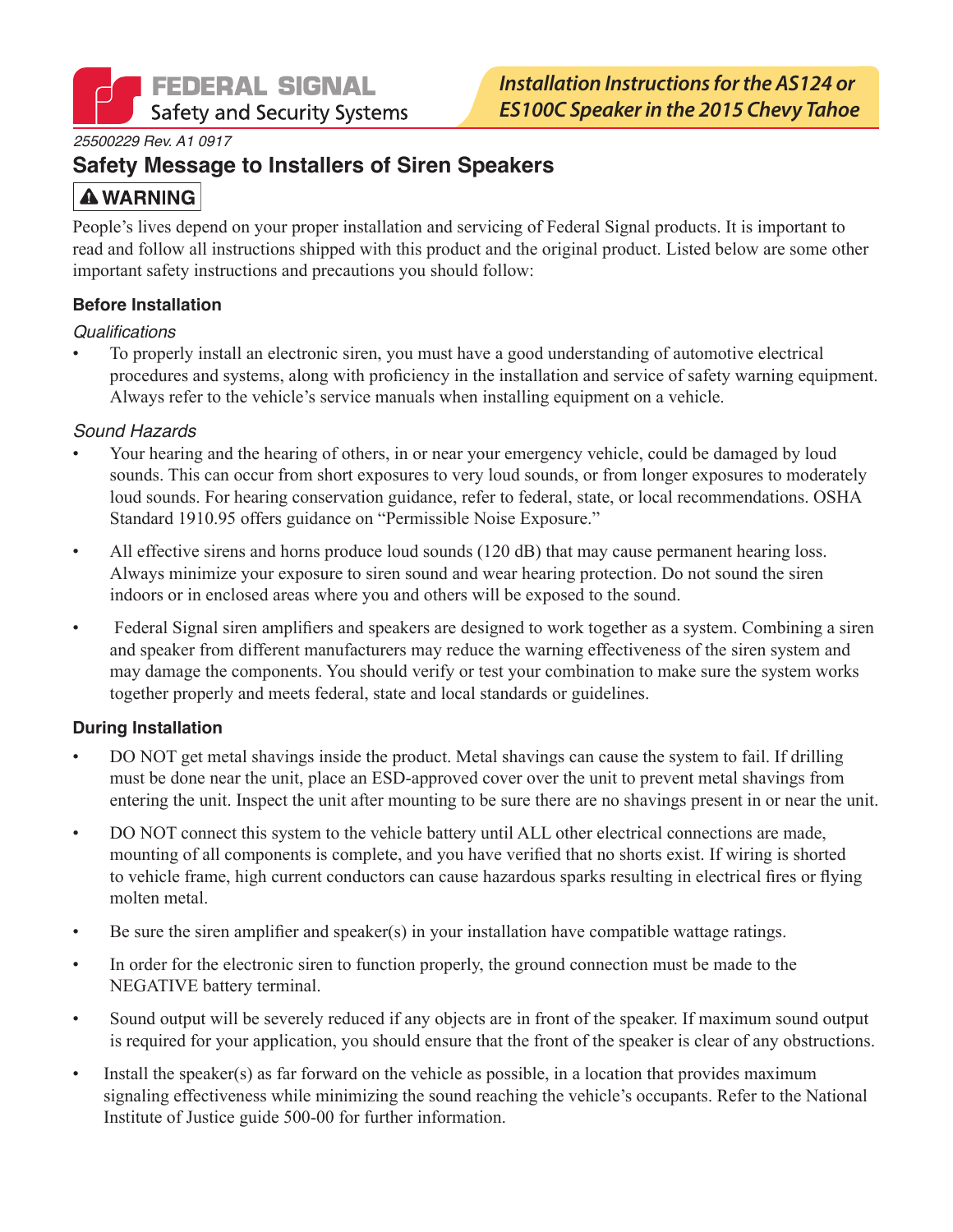

#### 25500229 Rev. A1 0917

# **Safety Message to Installers of Siren Speakers**

# **A WARNING**

People's lives depend on your proper installation and servicing of Federal Signal products. It is important to read and follow all instructions shipped with this product and the original product. Listed below are some other important safety instructions and precautions you should follow:

### **Before Installation**

### Qualifications

To properly install an electronic siren, you must have a good understanding of automotive electrical procedures and systems, along with proficiency in the installation and service of safety warning equipment. Always refer to the vehicle's service manuals when installing equipment on a vehicle.

### Sound Hazards

- Your hearing and the hearing of others, in or near your emergency vehicle, could be damaged by loud sounds. This can occur from short exposures to very loud sounds, or from longer exposures to moderately loud sounds. For hearing conservation guidance, refer to federal, state, or local recommendations. OSHA Standard 1910.95 offers guidance on "Permissible Noise Exposure."
- All effective sirens and horns produce loud sounds (120 dB) that may cause permanent hearing loss.  $\bullet$ Always minimize your exposure to siren sound and wear hearing protection. Do not sound the siren indoors or in enclosed areas where you and others will be exposed to the sound.
- Federal Signal siren amplifiers and speakers are designed to work together as a system. Combining a siren  $\bullet$ and speaker from different manufacturers may reduce the warning effectiveness of the siren system and may damage the components. You should verify or test your combination to make sure the system works together properly and meets federal, state and local standards or guidelines.

### **During Installation**

- DO NOT get metal shavings inside the product. Metal shavings can cause the system to fail. If drilling  $\bullet$ must be done near the unit, place an ESD-approved cover over the unit to prevent metal shavings from entering the unit. Inspect the unit after mounting to be sure there are no shavings present in or near the unit.
- DO NOT connect this system to the vehicle battery until ALL other electrical connections are made,  $\bullet$ mounting of all components is complete, and you have verified that no shorts exist. If wiring is shorted to vehicle frame, high current conductors can cause hazardous sparks resulting in electrical fires or flying molten metal.
- Be sure the siren amplifier and speaker(s) in your installation have compatible wattage ratings.  $\bullet$
- In order for the electronic siren to function properly, the ground connection must be made to the  $\bullet$ NEGATIVE battery terminal.
- Sound output will be severely reduced if any objects are in front of the speaker. If maximum sound output  $\bullet$ is required for your application, you should ensure that the front of the speaker is clear of any obstructions.
- Install the speaker(s) as far forward on the vehicle as possible, in a location that provides maximum  $\bullet$ signaling effectiveness while minimizing the sound reaching the vehicle's occupants. Refer to the National Institute of Justice guide 500-00 for further information.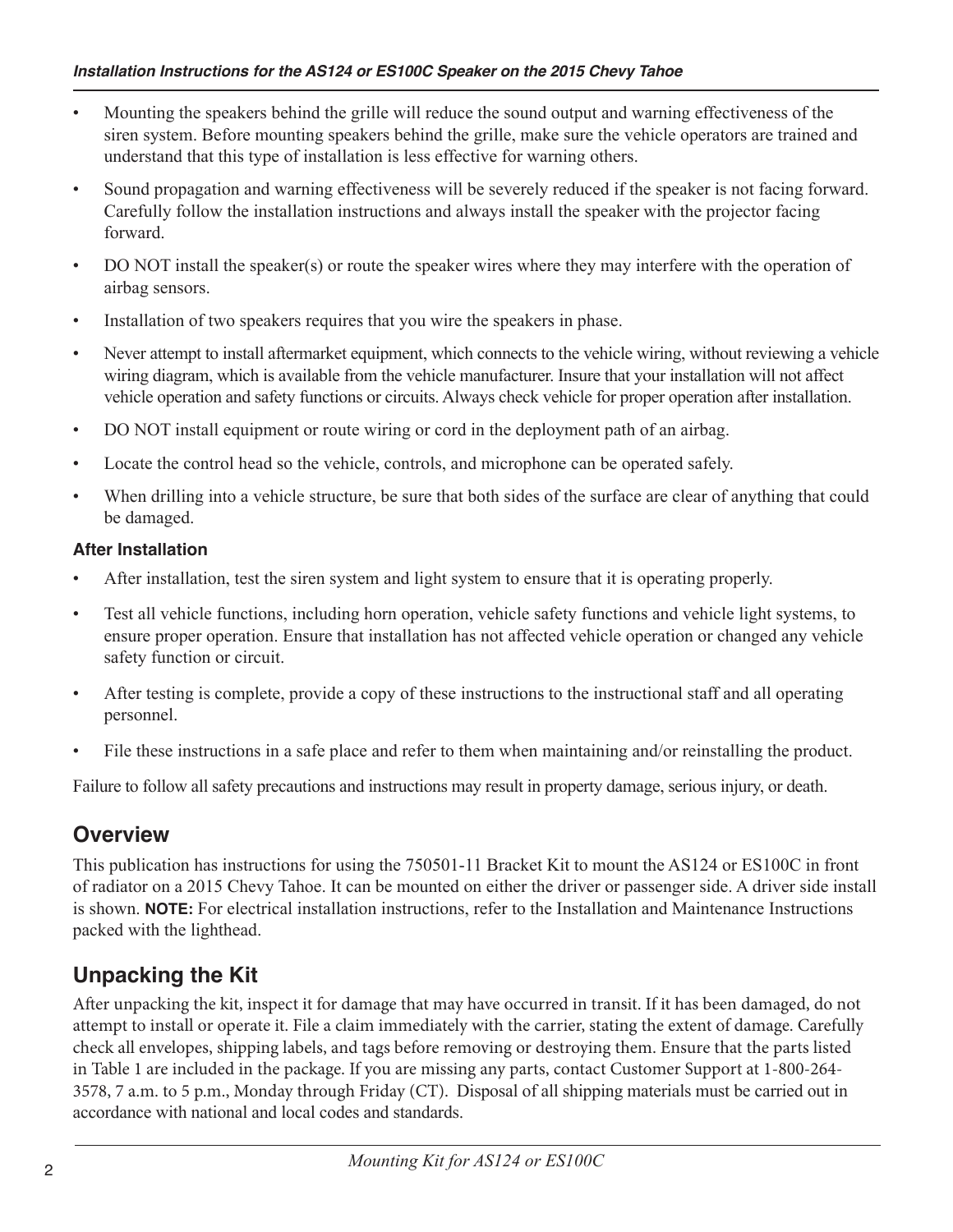- Mounting the speakers behind the grille will reduce the sound output and warning effectiveness of the siren system. Before mounting speakers behind the grille, make sure the vehicle operators are trained and understand that this type of installation is less effective for warning others.
- Sound propagation and warning effectiveness will be severely reduced if the speaker is not facing forward. Carefully follow the installation instructions and always install the speaker with the projector facing forward.
- DO NOT install the speaker(s) or route the speaker wires where they may interfere with the operation of  $\bullet$ airbag sensors.
- Installation of two speakers requires that you wire the speakers in phase.  $\bullet$
- Never attempt to install aftermarket equipment, which connects to the vehicle wiring, without reviewing a vehicle wiring diagram, which is available from the vehicle manufacturer. Insure that your installation will not affect vehicle operation and safety functions or circuits. Always check vehicle for proper operation after installation.
- DO NOT install equipment or route wiring or cord in the deployment path of an airbag.  $\bullet$
- Locate the control head so the vehicle, controls, and microphone can be operated safely.  $\bullet$
- When drilling into a vehicle structure, be sure that both sides of the surface are clear of anything that could  $\bullet$ be damaged.

### **After Installation**

- After installation, test the siren system and light system to ensure that it is operating properly.
- Test all vehicle functions, including horn operation, vehicle safety functions and vehicle light systems, to  $\bullet$ ensure proper operation. Ensure that installation has not affected vehicle operation or changed any vehicle safety function or circuit.
- After testing is complete, provide a copy of these instructions to the instructional staff and all operating  $\bullet$ personnel.
- File these instructions in a safe place and refer to them when maintaining and/or reinstalling the product.

Failure to follow all safety precautions and instructions may result in property damage, serious injury, or death.

# **Overview**

This publication has instructions for using the 750501-11 Bracket Kit to mount the AS124 or ES100C in front of radiator on a 2015 Chevy Tahoe. It can be mounted on either the driver or passenger side. A driver side install is shown. NOTE: For electrical installation instructions, refer to the Installation and Maintenance Instructions packed with the lighthead.

# **Unpacking the Kit**

After unpacking the kit, inspect it for damage that may have occurred in transit. If it has been damaged, do not attempt to install or operate it. File a claim immediately with the carrier, stating the extent of damage. Carefully check all envelopes, shipping labels, and tags before removing or destroying them. Ensure that the parts listed in Table 1 are included in the package. If you are missing any parts, contact Customer Support at 1-800-264-3578, 7 a.m. to 5 p.m., Monday through Friday (CT). Disposal of all shipping materials must be carried out in accordance with national and local codes and standards.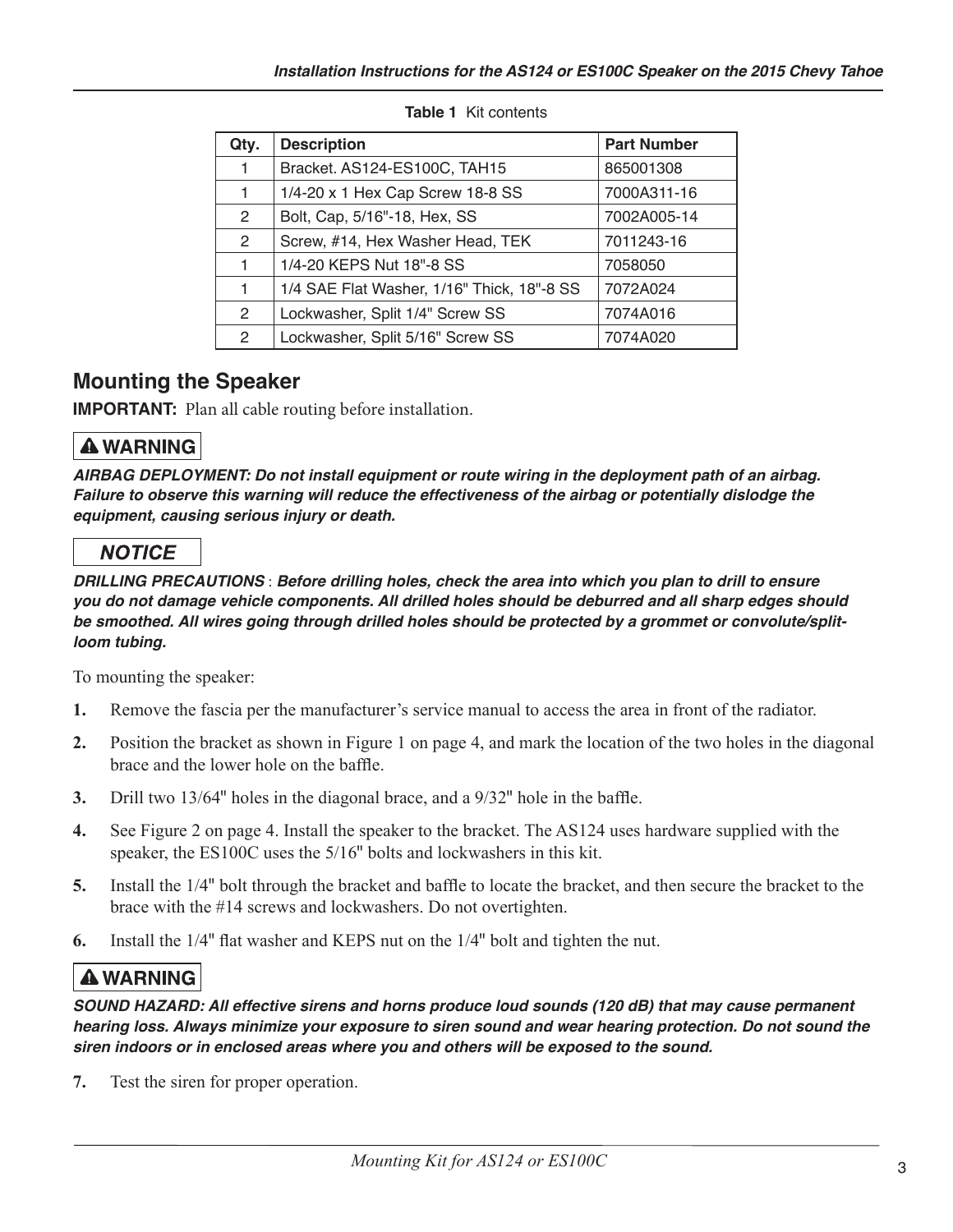| Qty.                 | <b>Description</b>                         | <b>Part Number</b> |
|----------------------|--------------------------------------------|--------------------|
| 1                    | Bracket. AS124-ES100C, TAH15               | 865001308          |
| 1                    | 1/4-20 x 1 Hex Cap Screw 18-8 SS           | 7000A311-16        |
| $\mathbf{2}^{\circ}$ | Bolt, Cap, 5/16"-18, Hex, SS               | 7002A005-14        |
| $\overline{2}$       | Screw, #14, Hex Washer Head, TEK           | 7011243-16         |
| 1                    | 1/4-20 KEPS Nut 18"-8 SS                   | 7058050            |
| 1                    | 1/4 SAE Flat Washer, 1/16" Thick, 18"-8 SS | 7072A024           |
| $\mathbf{2}^{\circ}$ | Lockwasher, Split 1/4" Screw SS            | 7074A016           |
| $\mathbf{2}$         | Lockwasher, Split 5/16" Screw SS           | 7074A020           |

#### Table 1 Kit contents

## **Mounting the Speaker**

**IMPORTANT:** Plan all cable routing before installation.

# **A WARNING**

AIRBAG DEPLOYMENT: Do not install equipment or route wiring in the deployment path of an airbag. Failure to observe this warning will reduce the effectiveness of the airbag or potentially dislodge the equipment, causing serious injury or death.

# **NOTICE**

DRILLING PRECAUTIONS : Before drilling holes, check the area into which you plan to drill to ensure you do not damage vehicle components. All drilled holes should be deburred and all sharp edges should be smoothed. All wires going through drilled holes should be protected by a grommet or convolute/splitloom tubing.

To mounting the speaker:

- Remove the fascia per the manufacturer's service manual to access the area in front of the radiator. 1.
- $2.$ Position the bracket as shown in Figure 1 on page 4, and mark the location of the two holes in the diagonal brace and the lower hole on the baffle.
- $3.$ Drill two 13/64" holes in the diagonal brace, and a 9/32" hole in the baffle.
- $\overline{4}$ . See Figure 2 on page 4. Install the speaker to the bracket. The AS124 uses hardware supplied with the speaker, the ES100C uses the 5/16" bolts and lockwashers in this kit.
- 5. Install the 1/4" bolt through the bracket and baffle to locate the bracket, and then secure the bracket to the brace with the #14 screws and lockwashers. Do not overtighten.
- 6. Install the 1/4" flat washer and KEPS nut on the 1/4" bolt and tighten the nut.

# **A WARNING**

SOUND HAZARD: All effective sirens and horns produce loud sounds (120 dB) that may cause permanent hearing loss. Always minimize your exposure to siren sound and wear hearing protection. Do not sound the siren indoors or in enclosed areas where you and others will be exposed to the sound.

7. Test the siren for proper operation.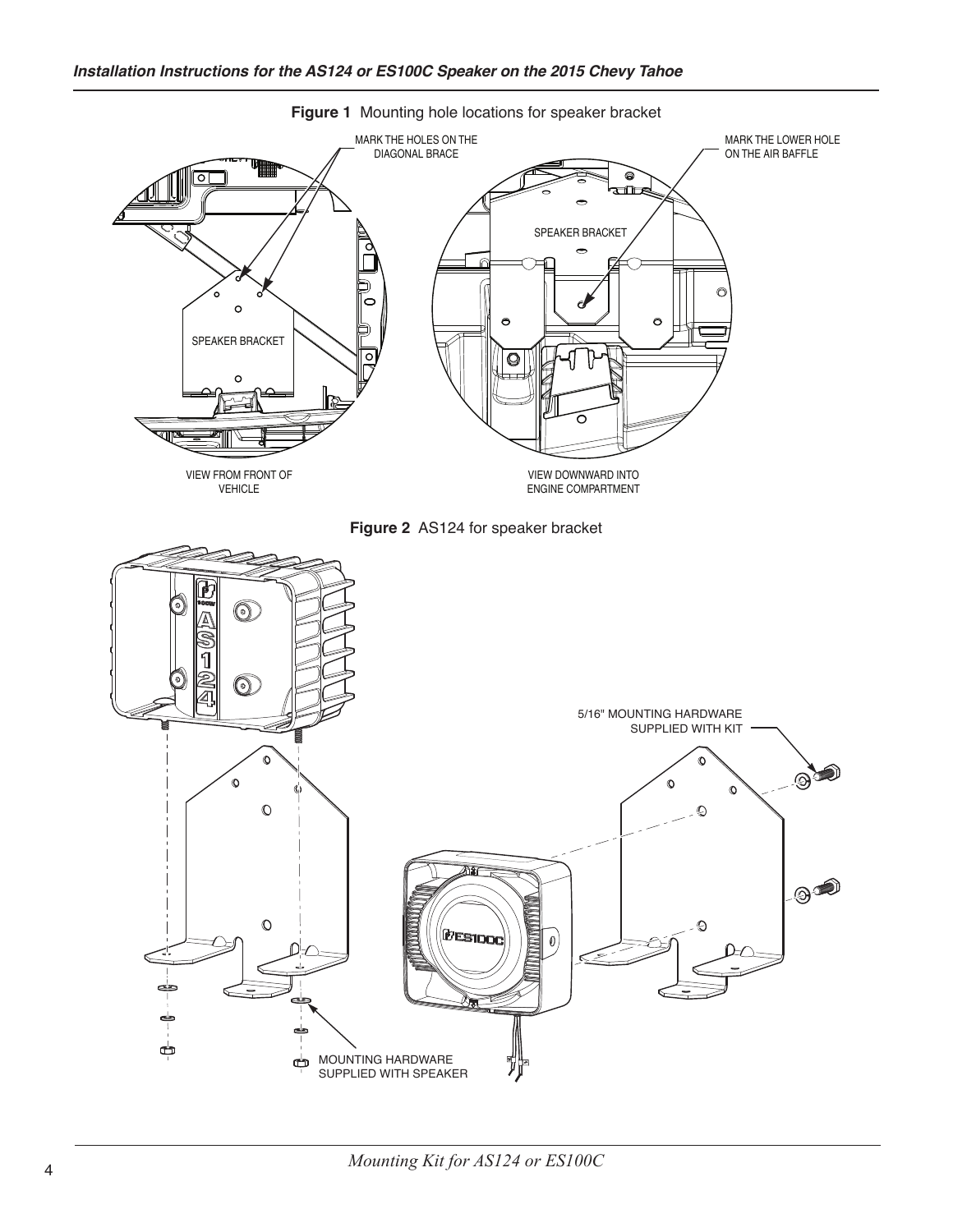

Figure 1 Mounting hole locations for speaker bracket

Mounting Kit for AS124 or ES100C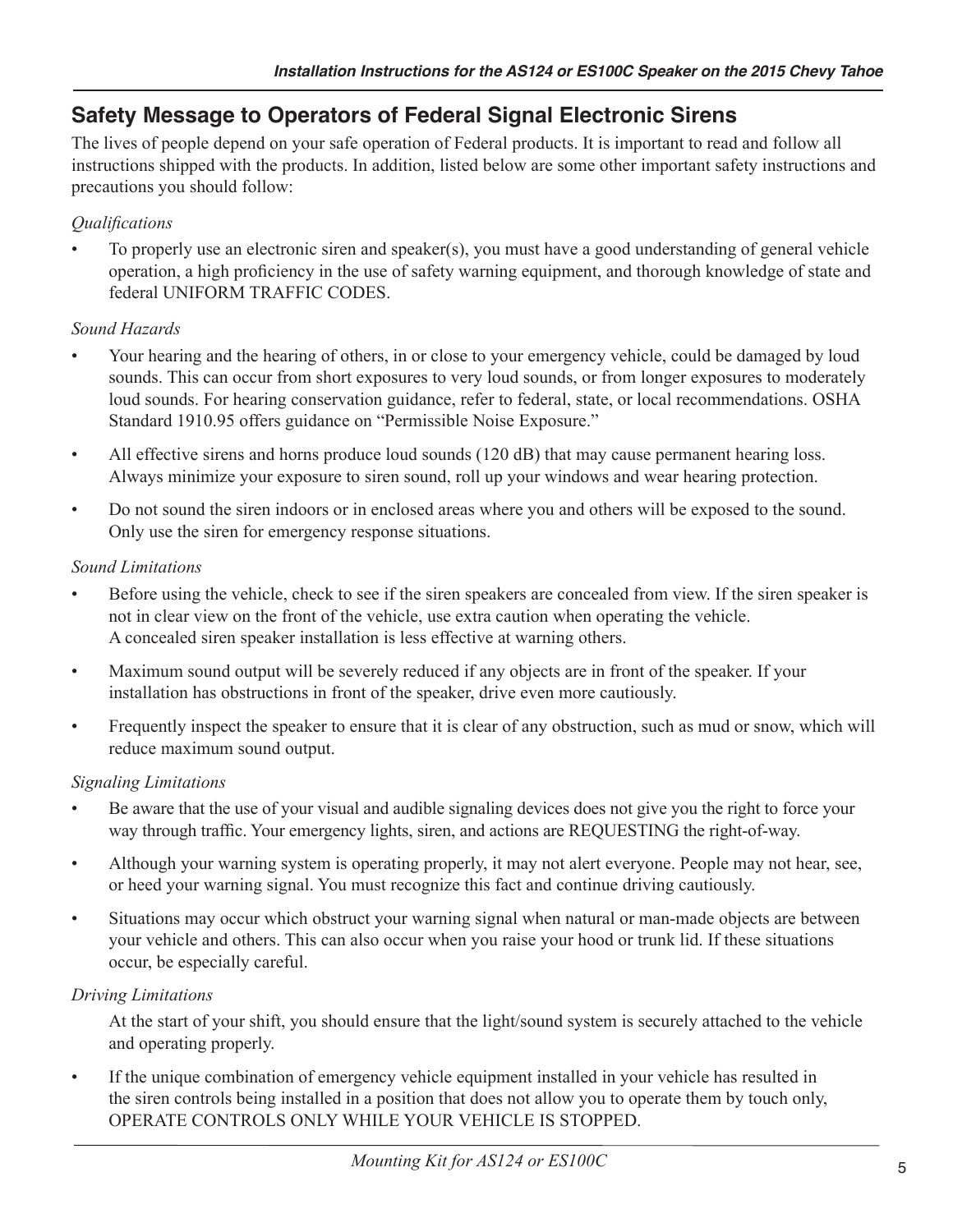# **Safety Message to Operators of Federal Signal Electronic Sirens**

The lives of people depend on your safe operation of Federal products. It is important to read and follow all instructions shipped with the products. In addition, listed below are some other important safety instructions and precautions you should follow:

### Qualifications

To properly use an electronic siren and speaker(s), you must have a good understanding of general vehicle operation, a high proficiency in the use of safety warning equipment, and thorough knowledge of state and federal UNIFORM TRAFFIC CODES

### Sound Hazards

- Your hearing and the hearing of others, in or close to your emergency vehicle, could be damaged by loud sounds. This can occur from short exposures to very loud sounds, or from longer exposures to moderately loud sounds. For hearing conservation guidance, refer to federal, state, or local recommendations. OSHA Standard 1910.95 offers guidance on "Permissible Noise Exposure."
- All effective sirens and horns produce loud sounds (120 dB) that may cause permanent hearing loss.  $\bullet$ Always minimize your exposure to siren sound, roll up your windows and wear hearing protection.
- Do not sound the siren indoors or in enclosed areas where you and others will be exposed to the sound. Only use the siren for emergency response situations.

### **Sound Limitations**

- Before using the vehicle, check to see if the siren speakers are concealed from view. If the siren speaker is  $\bullet$ not in clear view on the front of the vehicle, use extra caution when operating the vehicle. A concealed siren speaker installation is less effective at warning others.
- Maximum sound output will be severely reduced if any objects are in front of the speaker. If your  $\bullet$ installation has obstructions in front of the speaker, drive even more cautiously.
- Frequently inspect the speaker to ensure that it is clear of any obstruction, such as mud or snow, which will reduce maximum sound output.

## **Signaling Limitations**

- Be aware that the use of your visual and audible signaling devices does not give you the right to force your way through traffic. Your emergency lights, siren, and actions are REQUESTING the right-of-way.
- $\bullet$ Although your warning system is operating properly, it may not alert everyone. People may not hear, see, or heed your warning signal. You must recognize this fact and continue driving cautiously.
- Situations may occur which obstruct your warning signal when natural or man-made objects are between  $\bullet$ your vehicle and others. This can also occur when you raise your hood or trunk lid. If these situations occur, be especially careful.

### **Driving Limitations**

At the start of your shift, you should ensure that the light/sound system is securely attached to the vehicle and operating properly.

If the unique combination of emergency vehicle equipment installed in your vehicle has resulted in the siren controls being installed in a position that does not allow you to operate them by touch only, OPERATE CONTROLS ONLY WHILE YOUR VEHICLE IS STOPPED.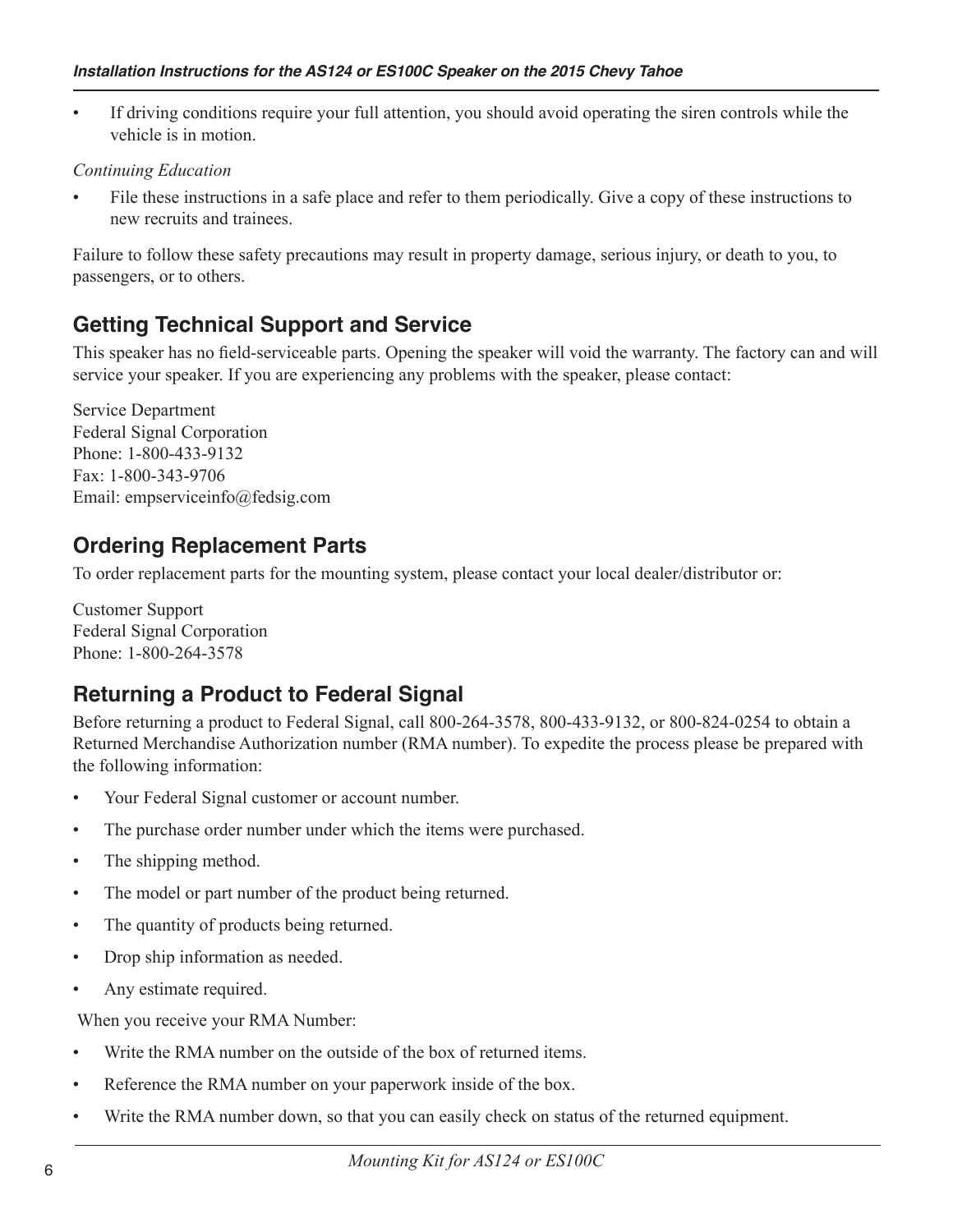If driving conditions require your full attention, you should avoid operating the siren controls while the vehicle is in motion.

#### **Continuing Education**

File these instructions in a safe place and refer to them periodically. Give a copy of these instructions to new recruits and trainees

Failure to follow these safety precautions may result in property damage, serious injury, or death to you, to passengers, or to others.

# **Getting Technical Support and Service**

This speaker has no field-serviceable parts. Opening the speaker will void the warranty. The factory can and will service your speaker. If you are experiencing any problems with the speaker, please contact:

**Service Department Federal Signal Corporation** Phone: 1-800-433-9132 Fax: 1-800-343-9706 Email: empserviceinfo@fedsig.com

# **Ordering Replacement Parts**

To order replacement parts for the mounting system, please contact your local dealer/distributor or:

**Customer Support Federal Signal Corporation** Phone: 1-800-264-3578

# **Returning a Product to Federal Signal**

Before returning a product to Federal Signal, call 800-264-3578, 800-433-9132, or 800-824-0254 to obtain a Returned Merchandise Authorization number (RMA number). To expedite the process please be prepared with the following information:

- Your Federal Signal customer or account number.  $\bullet$
- The purchase order number under which the items were purchased.  $\bullet$
- The shipping method.  $\bullet$
- The model or part number of the product being returned.  $\bullet$
- The quantity of products being returned.  $\bullet$
- Drop ship information as needed.  $\bullet$
- Any estimate required.

When you receive your RMA Number:

- Write the RMA number on the outside of the box of returned items.  $\bullet$
- $\bullet$ Reference the RMA number on your paperwork inside of the box.
- Write the RMA number down, so that you can easily check on status of the returned equipment.  $\bullet$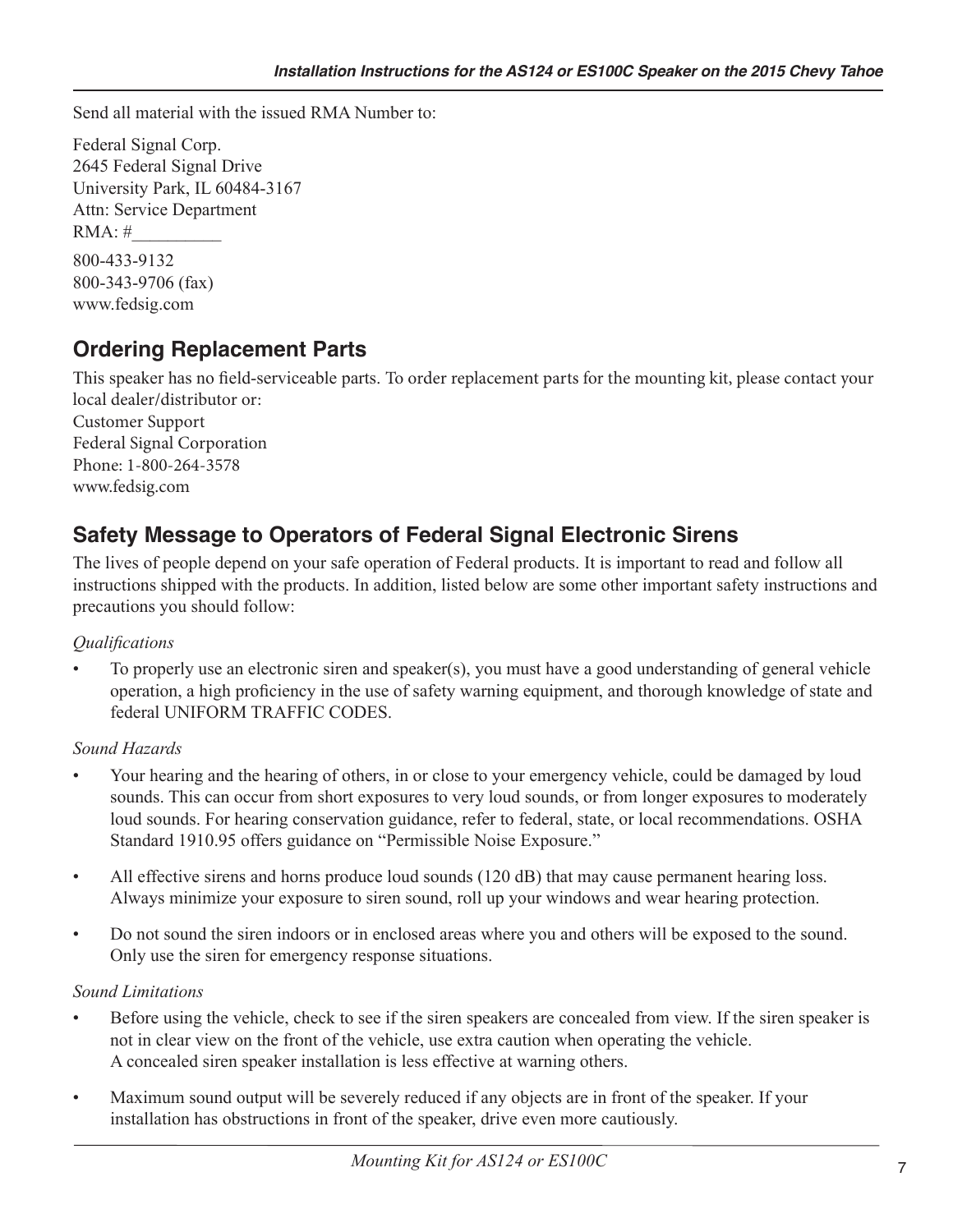Send all material with the issued RMA Number to:

Federal Signal Corp. 2645 Federal Signal Drive University Park, IL 60484-3167 Attn: Service Department  $RMA:#$ 800-433-9132 800-343-9706 (fax) www.fedsig.com

# **Ordering Replacement Parts**

This speaker has no field-serviceable parts. To order replacement parts for the mounting kit, please contact your local dealer/distributor or: **Customer Support** Federal Signal Corporation Phone: 1-800-264-3578 www.fedsig.com

# **Safety Message to Operators of Federal Signal Electronic Sirens**

The lives of people depend on your safe operation of Federal products. It is important to read and follow all instructions shipped with the products. In addition, listed below are some other important safety instructions and precautions you should follow:

### *Qualifications*

To properly use an electronic siren and speaker(s), you must have a good understanding of general vehicle operation, a high proficiency in the use of safety warning equipment, and thorough knowledge of state and federal UNIFORM TRAFFIC CODES.

### Sound Hazards

- Your hearing and the hearing of others, in or close to your emergency vehicle, could be damaged by loud sounds. This can occur from short exposures to very loud sounds, or from longer exposures to moderately loud sounds. For hearing conservation guidance, refer to federal, state, or local recommendations. OSHA Standard 1910.95 offers guidance on "Permissible Noise Exposure."
- All effective sirens and horns produce loud sounds (120 dB) that may cause permanent hearing loss.  $\bullet$ Always minimize your exposure to siren sound, roll up your windows and wear hearing protection.
- Do not sound the siren indoors or in enclosed areas where you and others will be exposed to the sound. Only use the siren for emergency response situations.

### **Sound Limitations**

- Before using the vehicle, check to see if the siren speakers are concealed from view. If the siren speaker is not in clear view on the front of the vehicle, use extra caution when operating the vehicle. A concealed siren speaker installation is less effective at warning others.
- Maximum sound output will be severely reduced if any objects are in front of the speaker. If your installation has obstructions in front of the speaker, drive even more cautiously.